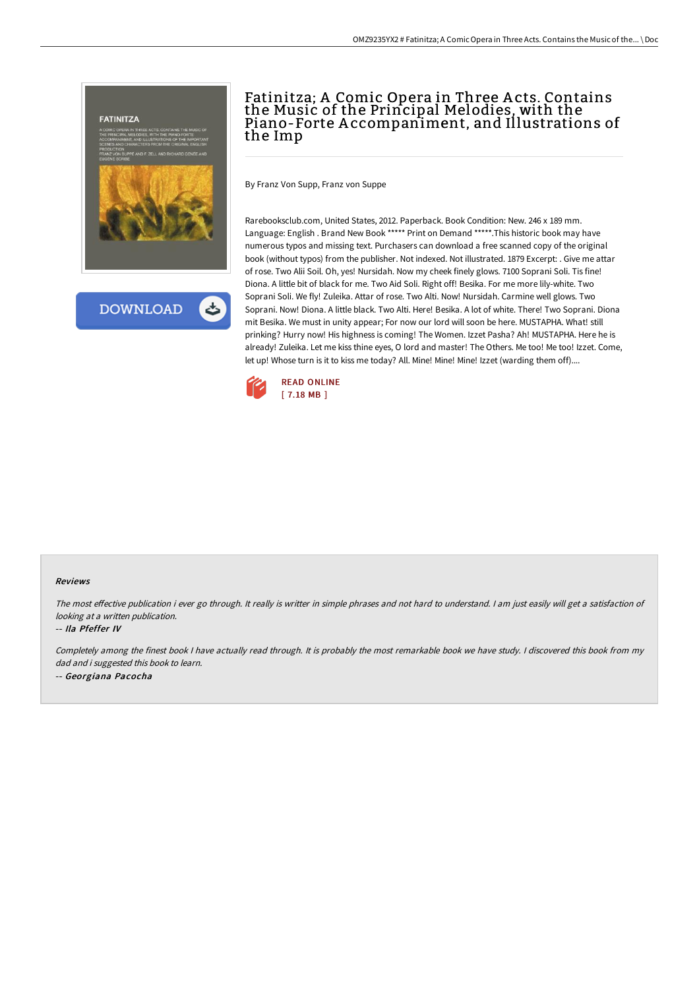

**DOWNLOAD** 

## Fatinitza; A Comic Opera in Three A cts. Contains the Music of the Principal Melodies, with the Piano-Forte A ccompaniment, and Illustrations of the Imp

By Franz Von Supp, Franz von Suppe

Rarebooksclub.com, United States, 2012. Paperback. Book Condition: New. 246 x 189 mm. Language: English . Brand New Book \*\*\*\*\* Print on Demand \*\*\*\*\*.This historic book may have numerous typos and missing text. Purchasers can download a free scanned copy of the original book (without typos) from the publisher. Not indexed. Not illustrated. 1879 Excerpt: . Give me attar of rose. Two Alii Soil. Oh, yes! Nursidah. Now my cheek finely glows. 7100 Soprani Soli. Tis fine! Diona. A little bit of black for me. Two Aid Soli. Right off! Besika. For me more lily-white. Two Soprani Soli. We fly! Zuleika. Attar of rose. Two Alti. Now! Nursidah. Carmine well glows. Two Soprani. Now! Diona. A little black. Two Alti. Here! Besika. A lot of white. There! Two Soprani. Diona mit Besika. We must in unity appear; For now our lord will soon be here. MUSTAPHA. What! still prinking? Hurry now! His highness is coming! The Women. Izzet Pasha? Ah! MUSTAPHA. Here he is already! Zuleika. Let me kiss thine eyes, O lord and master! The Others. Me too! Me too! Izzet. Come, let up! Whose turn is it to kiss me today? All. Mine! Mine! Mine! Izzet (warding them off)....



## Reviews

The most effective publication i ever go through. It really is writter in simple phrases and not hard to understand. I am just easily will get a satisfaction of looking at <sup>a</sup> written publication.

## -- Ila Pfeffer IV

Completely among the finest book <sup>I</sup> have actually read through. It is probably the most remarkable book we have study. <sup>I</sup> discovered this book from my dad and i suggested this book to learn. -- Georgiana Pacocha